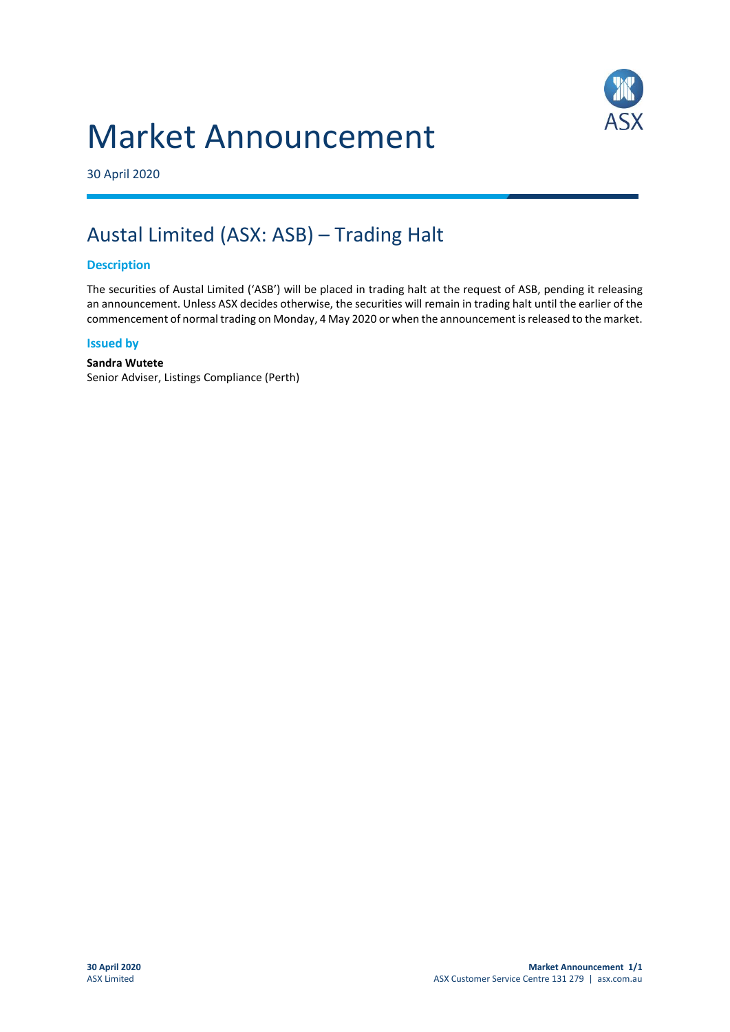# Market Announcement



30 April 2020

# Austal Limited (ASX: ASB) – Trading Halt

### **Description**

The securities of Austal Limited ('ASB') will be placed in trading halt at the request of ASB, pending it releasing an announcement. Unless ASX decides otherwise, the securities will remain in trading halt until the earlier of the commencement of normal trading on Monday, 4 May 2020 or when the announcement is released to the market.

#### **Issued by**

#### **Sandra Wutete**

Senior Adviser, Listings Compliance (Perth)